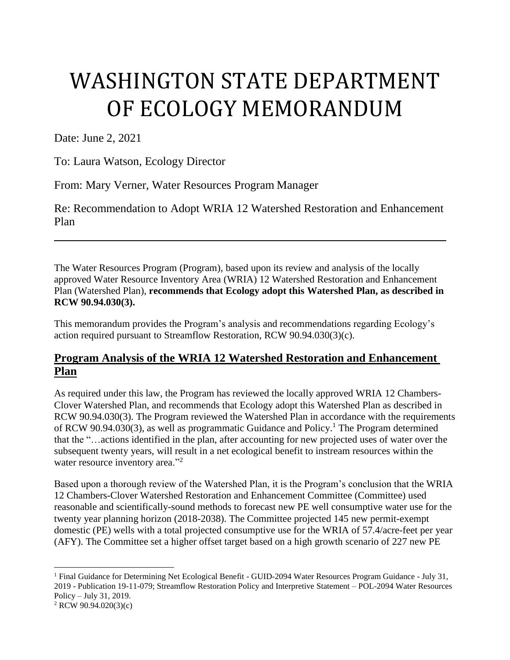# WASHINGTON STATE DEPARTMENT OF ECOLOGY MEMORANDUM

Date: June 2, 2021

 $\overline{a}$ 

To: Laura Watson, Ecology Director

From: Mary Verner, Water Resources Program Manager

Re: Recommendation to Adopt WRIA 12 Watershed Restoration and Enhancement Plan

The Water Resources Program (Program), based upon its review and analysis of the locally approved Water Resource Inventory Area (WRIA) 12 Watershed Restoration and Enhancement Plan (Watershed Plan), **recommends that Ecology adopt this Watershed Plan, as described in RCW 90.94.030(3).**

This memorandum provides the Program's analysis and recommendations regarding Ecology's action required pursuant to Streamflow Restoration, RCW 90.94.030(3)(c).

# **Program Analysis of the WRIA 12 Watershed Restoration and Enhancement Plan**

As required under this law, the Program has reviewed the locally approved WRIA 12 Chambers-Clover Watershed Plan, and recommends that Ecology adopt this Watershed Plan as described in RCW 90.94.030(3). The Program reviewed the Watershed Plan in accordance with the requirements of RCW 90.94.030(3), as well as programmatic Guidance and Policy. <sup>1</sup> The Program determined that the "…actions identified in the plan, after accounting for new projected uses of water over the subsequent twenty years, will result in a net ecological benefit to instream resources within the water resource inventory area."<sup>2</sup>

Based upon a thorough review of the Watershed Plan, it is the Program's conclusion that the WRIA 12 Chambers-Clover Watershed Restoration and Enhancement Committee (Committee) used reasonable and scientifically-sound methods to forecast new PE well consumptive water use for the twenty year planning horizon (2018-2038). The Committee projected 145 new permit-exempt domestic (PE) wells with a total projected consumptive use for the WRIA of 57.4/acre-feet per year (AFY). The Committee set a higher offset target based on a high growth scenario of 227 new PE

<sup>&</sup>lt;sup>1</sup> Final Guidance for Determining Net Ecological Benefit - GUID-2094 Water Resources Program Guidance - July 31, 2019 - Publication 19-11-079; Streamflow Restoration Policy and Interpretive Statement – POL-2094 Water Resources Policy – July 31, 2019. <sup>2</sup> RCW 90.94.020(3)(c)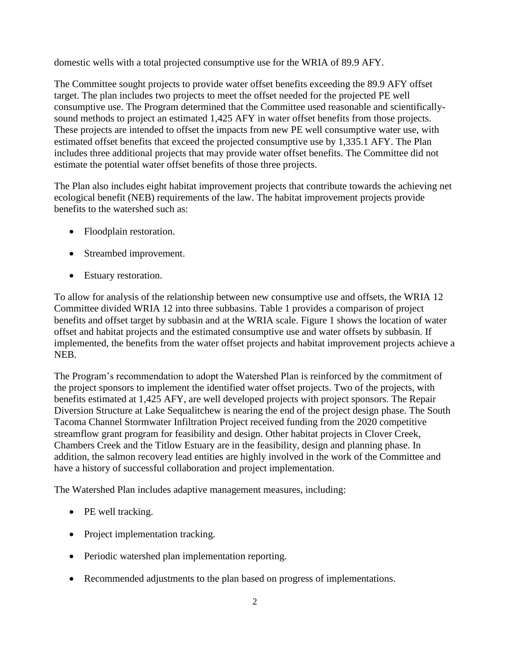domestic wells with a total projected consumptive use for the WRIA of 89.9 AFY.

The Committee sought projects to provide water offset benefits exceeding the 89.9 AFY offset target. The plan includes two projects to meet the offset needed for the projected PE well consumptive use. The Program determined that the Committee used reasonable and scientificallysound methods to project an estimated 1,425 AFY in water offset benefits from those projects. These projects are intended to offset the impacts from new PE well consumptive water use, with estimated offset benefits that exceed the projected consumptive use by 1,335.1 AFY. The Plan includes three additional projects that may provide water offset benefits. The Committee did not estimate the potential water offset benefits of those three projects.

The Plan also includes eight habitat improvement projects that contribute towards the achieving net ecological benefit (NEB) requirements of the law. The habitat improvement projects provide benefits to the watershed such as:

- Floodplain restoration.
- Streambed improvement.
- Estuary restoration.

To allow for analysis of the relationship between new consumptive use and offsets, the WRIA 12 Committee divided WRIA 12 into three subbasins. Table 1 provides a comparison of project benefits and offset target by subbasin and at the WRIA scale. Figure 1 shows the location of water offset and habitat projects and the estimated consumptive use and water offsets by subbasin. If implemented, the benefits from the water offset projects and habitat improvement projects achieve a NEB.

The Program's recommendation to adopt the Watershed Plan is reinforced by the commitment of the project sponsors to implement the identified water offset projects. Two of the projects, with benefits estimated at 1,425 AFY, are well developed projects with project sponsors. The Repair Diversion Structure at Lake Sequalitchew is nearing the end of the project design phase. The South Tacoma Channel Stormwater Infiltration Project received funding from the 2020 competitive streamflow grant program for feasibility and design. Other habitat projects in Clover Creek, Chambers Creek and the Titlow Estuary are in the feasibility, design and planning phase. In addition, the salmon recovery lead entities are highly involved in the work of the Committee and have a history of successful collaboration and project implementation.

The Watershed Plan includes adaptive management measures, including:

- PE well tracking.
- Project implementation tracking.
- Periodic watershed plan implementation reporting.
- Recommended adjustments to the plan based on progress of implementations.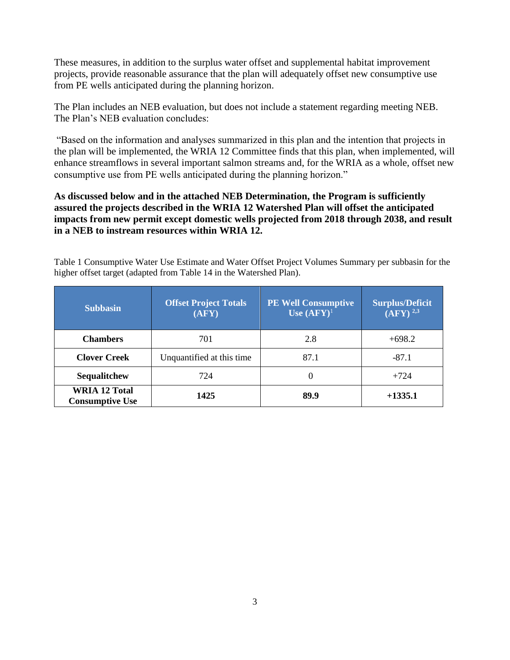These measures, in addition to the surplus water offset and supplemental habitat improvement projects, provide reasonable assurance that the plan will adequately offset new consumptive use from PE wells anticipated during the planning horizon.

The Plan includes an NEB evaluation, but does not include a statement regarding meeting NEB. The Plan's NEB evaluation concludes:

"Based on the information and analyses summarized in this plan and the intention that projects in the plan will be implemented, the WRIA 12 Committee finds that this plan, when implemented, will enhance streamflows in several important salmon streams and, for the WRIA as a whole, offset new consumptive use from PE wells anticipated during the planning horizon."

#### **As discussed below and in the attached NEB Determination, the Program is sufficiently assured the projects described in the WRIA 12 Watershed Plan will offset the anticipated impacts from new permit except domestic wells projected from 2018 through 2038, and result in a NEB to instream resources within WRIA 12.**

Table 1 Consumptive Water Use Estimate and Water Offset Project Volumes Summary per subbasin for the higher offset target (adapted from Table 14 in the Watershed Plan).

| <b>Subbasin</b>                                | <b>Offset Project Totals</b><br>(AFY) | <b>PE Well Consumptive</b><br>Use $(AFY)^1$ | <b>Surplus/Deficit</b><br>$\overline{\bf (AFY)}$ <sup>2,3</sup> |
|------------------------------------------------|---------------------------------------|---------------------------------------------|-----------------------------------------------------------------|
| <b>Chambers</b>                                | 701                                   | 2.8                                         | $+698.2$                                                        |
| <b>Clover Creek</b>                            | Unquantified at this time             | 87.1                                        | $-87.1$                                                         |
| Sequalitchew                                   | 724                                   | 0                                           | $+724$                                                          |
| <b>WRIA 12 Total</b><br><b>Consumptive Use</b> | 1425                                  | 89.9                                        | $+1335.1$                                                       |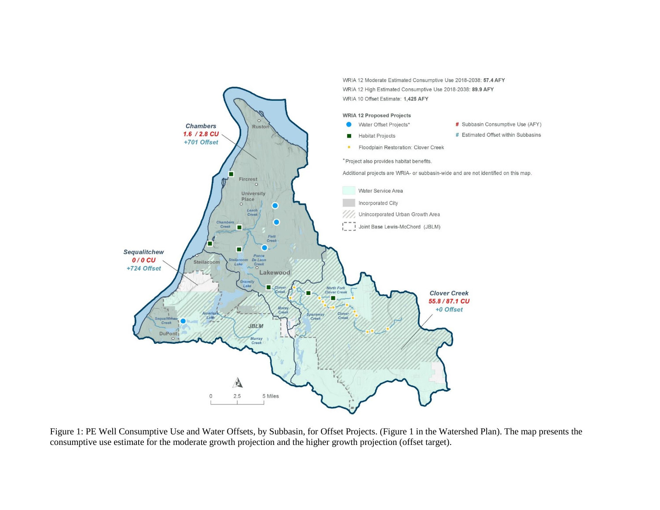

Figure 1: PE Well Consumptive Use and Water Offsets, by Subbasin, for Offset Projects. (Figure 1 in the Watershed Plan). The map presents the consumptive use estimate for the moderate growth projection and the higher growth projection (offset target).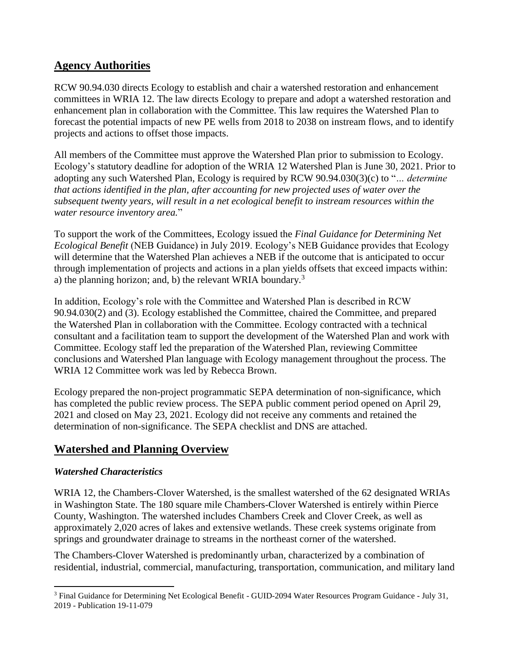# **Agency Authorities**

RCW 90.94.030 directs Ecology to establish and chair a watershed restoration and enhancement committees in WRIA 12. The law directs Ecology to prepare and adopt a watershed restoration and enhancement plan in collaboration with the Committee. This law requires the Watershed Plan to forecast the potential impacts of new PE wells from 2018 to 2038 on instream flows, and to identify projects and actions to offset those impacts.

All members of the Committee must approve the Watershed Plan prior to submission to Ecology. Ecology's statutory deadline for adoption of the WRIA 12 Watershed Plan is June 30, 2021. Prior to adopting any such Watershed Plan, Ecology is required by RCW 90.94.030(3)(c) to "*… determine that actions identified in the plan, after accounting for new projected uses of water over the subsequent twenty years, will result in a net ecological benefit to instream resources within the water resource inventory area.*"

To support the work of the Committees, Ecology issued the *Final Guidance for Determining Net Ecological Benefit* (NEB Guidance) in July 2019. Ecology's NEB Guidance provides that Ecology will determine that the Watershed Plan achieves a NEB if the outcome that is anticipated to occur through implementation of projects and actions in a plan yields offsets that exceed impacts within: a) the planning horizon; and, b) the relevant WRIA boundary.<sup>3</sup>

In addition, Ecology's role with the Committee and Watershed Plan is described in RCW 90.94.030(2) and (3). Ecology established the Committee, chaired the Committee, and prepared the Watershed Plan in collaboration with the Committee. Ecology contracted with a technical consultant and a facilitation team to support the development of the Watershed Plan and work with Committee. Ecology staff led the preparation of the Watershed Plan, reviewing Committee conclusions and Watershed Plan language with Ecology management throughout the process. The WRIA 12 Committee work was led by Rebecca Brown.

Ecology prepared the non-project programmatic SEPA determination of non-significance, which has completed the public review process. The SEPA public comment period opened on April 29, 2021 and closed on May 23, 2021. Ecology did not receive any comments and retained the determination of non-significance. The SEPA checklist and DNS are attached.

# **Watershed and Planning Overview**

## *Watershed Characteristics*

WRIA 12, the Chambers-Clover Watershed, is the smallest watershed of the 62 designated WRIAs in Washington State. The 180 square mile Chambers-Clover Watershed is entirely within Pierce County, Washington. The watershed includes Chambers Creek and Clover Creek, as well as approximately 2,020 acres of lakes and extensive wetlands. These creek systems originate from springs and groundwater drainage to streams in the northeast corner of the watershed.

The Chambers-Clover Watershed is predominantly urban, characterized by a combination of residential, industrial, commercial, manufacturing, transportation, communication, and military land

l <sup>3</sup> Final Guidance for Determining Net Ecological Benefit - GUID-2094 Water Resources Program Guidance - July 31, 2019 - Publication 19-11-079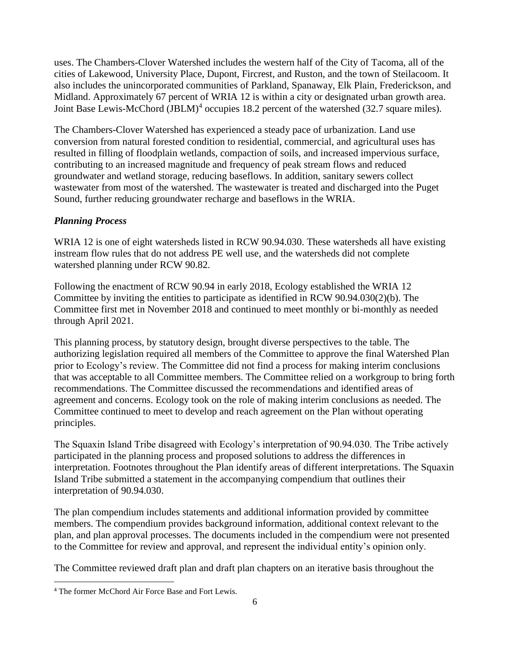uses. The Chambers-Clover Watershed includes the western half of the City of Tacoma, all of the cities of Lakewood, University Place, Dupont, Fircrest, and Ruston, and the town of Steilacoom. It also includes the unincorporated communities of Parkland, Spanaway, Elk Plain, Frederickson, and Midland. Approximately 67 percent of WRIA 12 is within a city or designated urban growth area. Joint Base Lewis-McChord (JBLM)<sup>4</sup> occupies 18.2 percent of the watershed (32.7 square miles).

The Chambers-Clover Watershed has experienced a steady pace of urbanization. Land use conversion from natural forested condition to residential, commercial, and agricultural uses has resulted in filling of floodplain wetlands, compaction of soils, and increased impervious surface, contributing to an increased magnitude and frequency of peak stream flows and reduced groundwater and wetland storage, reducing baseflows. In addition, sanitary sewers collect wastewater from most of the watershed. The wastewater is treated and discharged into the Puget Sound, further reducing groundwater recharge and baseflows in the WRIA.

#### *Planning Process*

WRIA 12 is one of eight watersheds listed in RCW 90.94.030. These watersheds all have existing instream flow rules that do not address PE well use, and the watersheds did not complete watershed planning under RCW 90.82.

Following the enactment of RCW 90.94 in early 2018, Ecology established the WRIA 12 Committee by inviting the entities to participate as identified in RCW 90.94.030(2)(b). The Committee first met in November 2018 and continued to meet monthly or bi-monthly as needed through April 2021.

This planning process, by statutory design, brought diverse perspectives to the table. The authorizing legislation required all members of the Committee to approve the final Watershed Plan prior to Ecology's review. The Committee did not find a process for making interim conclusions that was acceptable to all Committee members. The Committee relied on a workgroup to bring forth recommendations. The Committee discussed the recommendations and identified areas of agreement and concerns. Ecology took on the role of making interim conclusions as needed. The Committee continued to meet to develop and reach agreement on the Plan without operating principles.

The Squaxin Island Tribe disagreed with Ecology's interpretation of 90.94.030. The Tribe actively participated in the planning process and proposed solutions to address the differences in interpretation. Footnotes throughout the Plan identify areas of different interpretations. The Squaxin Island Tribe submitted a statement in the accompanying compendium that outlines their interpretation of 90.94.030.

The plan compendium includes statements and additional information provided by committee members. The compendium provides background information, additional context relevant to the plan, and plan approval processes. The documents included in the compendium were not presented to the Committee for review and approval, and represent the individual entity's opinion only.

The Committee reviewed draft plan and draft plan chapters on an iterative basis throughout the

 $\overline{a}$ 

<sup>4</sup> The former McChord Air Force Base and Fort Lewis.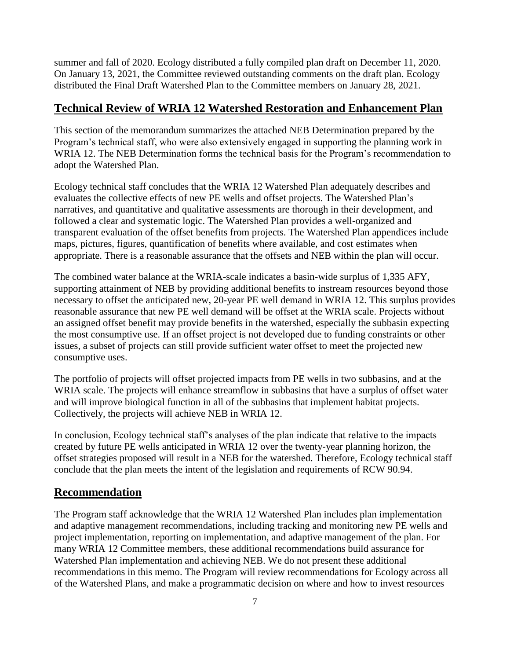summer and fall of 2020. Ecology distributed a fully compiled plan draft on December 11, 2020. On January 13, 2021, the Committee reviewed outstanding comments on the draft plan. Ecology distributed the Final Draft Watershed Plan to the Committee members on January 28, 2021.

### **Technical Review of WRIA 12 Watershed Restoration and Enhancement Plan**

This section of the memorandum summarizes the attached NEB Determination prepared by the Program's technical staff, who were also extensively engaged in supporting the planning work in WRIA 12. The NEB Determination forms the technical basis for the Program's recommendation to adopt the Watershed Plan.

Ecology technical staff concludes that the WRIA 12 Watershed Plan adequately describes and evaluates the collective effects of new PE wells and offset projects. The Watershed Plan's narratives, and quantitative and qualitative assessments are thorough in their development, and followed a clear and systematic logic. The Watershed Plan provides a well-organized and transparent evaluation of the offset benefits from projects. The Watershed Plan appendices include maps, pictures, figures, quantification of benefits where available, and cost estimates when appropriate. There is a reasonable assurance that the offsets and NEB within the plan will occur.

The combined water balance at the WRIA-scale indicates a basin-wide surplus of 1,335 AFY, supporting attainment of NEB by providing additional benefits to instream resources beyond those necessary to offset the anticipated new, 20-year PE well demand in WRIA 12. This surplus provides reasonable assurance that new PE well demand will be offset at the WRIA scale. Projects without an assigned offset benefit may provide benefits in the watershed, especially the subbasin expecting the most consumptive use. If an offset project is not developed due to funding constraints or other issues, a subset of projects can still provide sufficient water offset to meet the projected new consumptive uses.

The portfolio of projects will offset projected impacts from PE wells in two subbasins, and at the WRIA scale. The projects will enhance streamflow in subbasins that have a surplus of offset water and will improve biological function in all of the subbasins that implement habitat projects. Collectively, the projects will achieve NEB in WRIA 12.

In conclusion, Ecology technical staff's analyses of the plan indicate that relative to the impacts created by future PE wells anticipated in WRIA 12 over the twenty-year planning horizon, the offset strategies proposed will result in a NEB for the watershed. Therefore, Ecology technical staff conclude that the plan meets the intent of the legislation and requirements of RCW 90.94.

## **Recommendation**

The Program staff acknowledge that the WRIA 12 Watershed Plan includes plan implementation and adaptive management recommendations, including tracking and monitoring new PE wells and project implementation, reporting on implementation, and adaptive management of the plan. For many WRIA 12 Committee members, these additional recommendations build assurance for Watershed Plan implementation and achieving NEB. We do not present these additional recommendations in this memo. The Program will review recommendations for Ecology across all of the Watershed Plans, and make a programmatic decision on where and how to invest resources